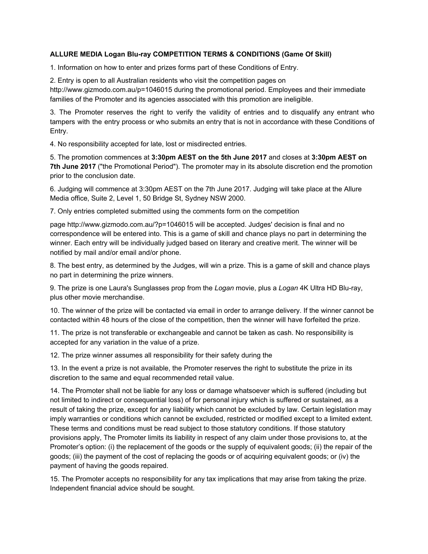## **ALLURE MEDIA Logan Blu-ray COMPETITION TERMS & CONDITIONS (Game Of Skill)**

1. Information on how to enter and prizes forms part of these Conditions of Entry.

2. Entry is open to all Australian residents who visit the competition pages on

http://www.gizmodo.com.au/p=1046015 during the promotional period. Employees and their immediate families of the Promoter and its agencies associated with this promotion are ineligible.

3. The Promoter reserves the right to verify the validity of entries and to disqualify any entrant who tampers with the entry process or who submits an entry that is not in accordance with these Conditions of Entry.

4. No responsibility accepted for late, lost or misdirected entries.

5. The promotion commences at **3:30pm AEST on the 5th June 2017** and closes at **3:30pm AEST on 7th June 2017** ("the Promotional Period"). The promoter may in its absolute discretion end the promotion prior to the conclusion date.

6. Judging will commence at 3:30pm AEST on the 7th June 2017. Judging will take place at the Allure Media office, Suite 2, Level 1, 50 Bridge St, Sydney NSW 2000.

7. Only entries completed submitted using the comments form on the competition

page http://www.gizmodo.com.au/?p=1046015 will be accepted. Judges' decision is final and no correspondence will be entered into. This is a game of skill and chance plays no part in determining the winner. Each entry will be individually judged based on literary and creative merit. The winner will be notified by mail and/or email and/or phone.

8. The best entry, as determined by the Judges, will win a prize. This is a game of skill and chance plays no part in determining the prize winners.

9. The prize is one Laura's Sunglasses prop from the *Logan* movie, plus a *Logan* 4K Ultra HD Blu-ray, plus other movie merchandise.

10. The winner of the prize will be contacted via email in order to arrange delivery. If the winner cannot be contacted within 48 hours of the close of the competition, then the winner will have forfeited the prize.

11. The prize is not transferable or exchangeable and cannot be taken as cash. No responsibility is accepted for any variation in the value of a prize.

12. The prize winner assumes all responsibility for their safety during the

13. In the event a prize is not available, the Promoter reserves the right to substitute the prize in its discretion to the same and equal recommended retail value.

14. The Promoter shall not be liable for any loss or damage whatsoever which is suffered (including but not limited to indirect or consequential loss) of for personal injury which is suffered or sustained, as a result of taking the prize, except for any liability which cannot be excluded by law. Certain legislation may imply warranties or conditions which cannot be excluded, restricted or modified except to a limited extent. These terms and conditions must be read subject to those statutory conditions. If those statutory provisions apply, The Promoter limits its liability in respect of any claim under those provisions to, at the Promoter's option: (i) the replacement of the goods or the supply of equivalent goods; (ii) the repair of the goods; (iii) the payment of the cost of replacing the goods or of acquiring equivalent goods; or (iv) the payment of having the goods repaired.

15. The Promoter accepts no responsibility for any tax implications that may arise from taking the prize. Independent financial advice should be sought.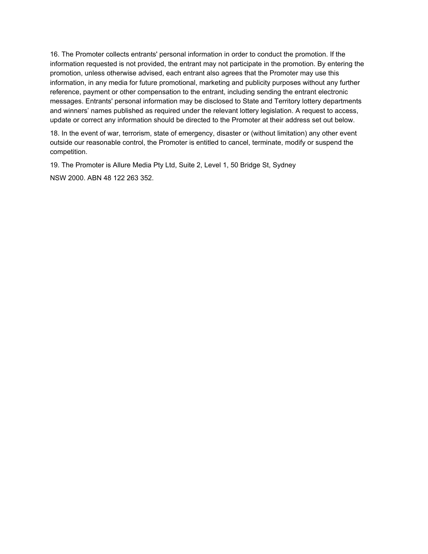16. The Promoter collects entrants' personal information in order to conduct the promotion. If the information requested is not provided, the entrant may not participate in the promotion. By entering the promotion, unless otherwise advised, each entrant also agrees that the Promoter may use this information, in any media for future promotional, marketing and publicity purposes without any further reference, payment or other compensation to the entrant, including sending the entrant electronic messages. Entrants' personal information may be disclosed to State and Territory lottery departments and winners' names published as required under the relevant lottery legislation. A request to access, update or correct any information should be directed to the Promoter at their address set out below.

18. In the event of war, terrorism, state of emergency, disaster or (without limitation) any other event outside our reasonable control, the Promoter is entitled to cancel, terminate, modify or suspend the competition.

19. The Promoter is Allure Media Pty Ltd, Suite 2, Level 1, 50 Bridge St, Sydney NSW 2000. ABN 48 122 263 352.